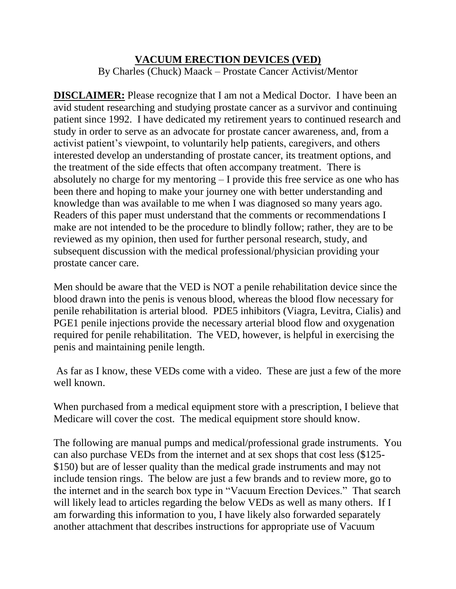## **VACUUM ERECTION DEVICES (VED)** By Charles (Chuck) Maack – Prostate Cancer Activist/Mentor

**DISCLAIMER:** Please recognize that I am not a Medical Doctor. I have been an avid student researching and studying prostate cancer as a survivor and continuing patient since 1992. I have dedicated my retirement years to continued research and study in order to serve as an advocate for prostate cancer awareness, and, from a activist patient's viewpoint, to voluntarily help patients, caregivers, and others interested develop an understanding of prostate cancer, its treatment options, and the treatment of the side effects that often accompany treatment. There is absolutely no charge for my mentoring – I provide this free service as one who has been there and hoping to make your journey one with better understanding and knowledge than was available to me when I was diagnosed so many years ago. Readers of this paper must understand that the comments or recommendations I make are not intended to be the procedure to blindly follow; rather, they are to be reviewed as my opinion, then used for further personal research, study, and subsequent discussion with the medical professional/physician providing your prostate cancer care.

Men should be aware that the VED is NOT a penile rehabilitation device since the blood drawn into the penis is venous blood, whereas the blood flow necessary for penile rehabilitation is arterial blood. PDE5 inhibitors (Viagra, Levitra, Cialis) and PGE1 penile injections provide the necessary arterial blood flow and oxygenation required for penile rehabilitation. The VED, however, is helpful in exercising the penis and maintaining penile length.

As far as I know, these VEDs come with a video. These are just a few of the more well known.

When purchased from a medical equipment store with a prescription, I believe that Medicare will cover the cost. The medical equipment store should know.

The following are manual pumps and medical/professional grade instruments. You can also purchase VEDs from the internet and at sex shops that cost less (\$125- \$150) but are of lesser quality than the medical grade instruments and may not include tension rings. The below are just a few brands and to review more, go to the internet and in the search box type in "Vacuum Erection Devices." That search will likely lead to articles regarding the below VEDs as well as many others. If I am forwarding this information to you, I have likely also forwarded separately another attachment that describes instructions for appropriate use of Vacuum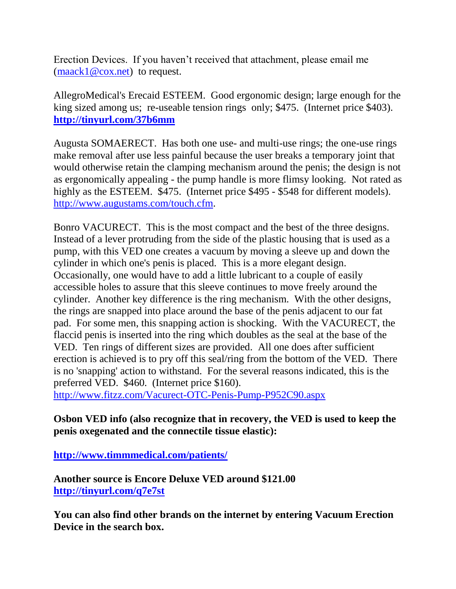Erection Devices. If you haven't received that attachment, please email me  $(maxk1@cox.net)$  to request.

AllegroMedical's Erecaid ESTEEM. Good ergonomic design; large enough for the king sized among us; re-useable tension rings only; \$475. (Internet price \$403). **<http://tinyurl.com/37b6mm>**

Augusta SOMAERECT. Has both one use- and multi-use rings; the one-use rings make removal after use less painful because the user breaks a temporary joint that would otherwise retain the clamping mechanism around the penis; the design is not as ergonomically appealing - the pump handle is more flimsy looking. Not rated as highly as the ESTEEM. \$475. (Internet price \$495 - \$548 for different models). [http://www.augustams.com/touch.cfm.](http://www.augustams.com/touch.cfm)

Bonro VACURECT. This is the most compact and the best of the three designs. Instead of a lever protruding from the side of the plastic housing that is used as a pump, with this VED one creates a vacuum by moving a sleeve up and down the cylinder in which one's penis is placed. This is a more elegant design. Occasionally, one would have to add a little lubricant to a couple of easily accessible holes to assure that this sleeve continues to move freely around the cylinder. Another key difference is the ring mechanism. With the other designs, the rings are snapped into place around the base of the penis adjacent to our fat pad. For some men, this snapping action is shocking. With the VACURECT, the flaccid penis is inserted into the ring which doubles as the seal at the base of the VED. Ten rings of different sizes are provided. All one does after sufficient erection is achieved is to pry off this seal/ring from the bottom of the VED. There is no 'snapping' action to withstand. For the several reasons indicated, this is the preferred VED. \$460. (Internet price \$160).

<http://www.fitzz.com/Vacurect-OTC-Penis-Pump-P952C90.aspx>

## **Osbon VED info (also recognize that in recovery, the VED is used to keep the penis oxegenated and the connectile tissue elastic):**

**<http://www.timmmedical.com/patients/>**

**Another source is Encore Deluxe VED around \$121.00 <http://tinyurl.com/q7e7st>**

**You can also find other brands on the internet by entering Vacuum Erection Device in the search box.**